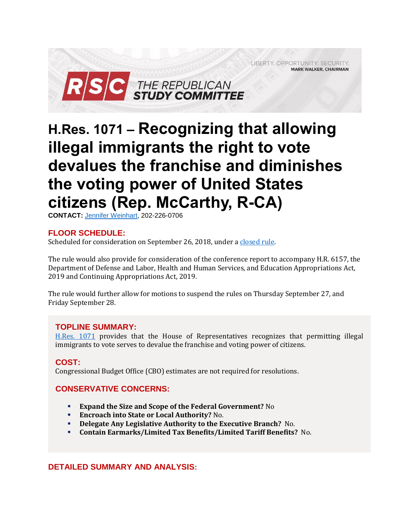LIBERTY. OPPORTUNITY. SECURITY. **MARK WALKER, CHAIRMAN** 



# **H.Res. 1071 – Recognizing that allowing illegal immigrants the right to vote devalues the franchise and diminishes the voting power of United States citizens (Rep. McCarthy, R-CA)**

**CONTACT:** Jennifer [Weinhart,](mailto:jennifer.weinhart@mail.house.gov) 202-226-0706

# **FLOOR SCHEDULE:**

Scheduled for consideration on September 26, 2018, under [a closed rule.](https://rules.house.gov/bill/115/h-res-1071)

The rule would also provide for consideration of the conference report to accompany H.R. 6157, the Department of Defense and Labor, Health and Human Services, and Education Appropriations Act, 2019 and Continuing Appropriations Act, 2019.

The rule would further allow for motions to suspend the rules on Thursday September 27, and Friday September 28.

# **TOPLINE SUMMARY:**

[H.Res. 1071](https://www.gpo.gov/fdsys/pkg/BILLS-115hres1071ih/pdf/BILLS-115hres1071ih.pdf) provides that the House of Representatives recognizes that permitting illegal immigrants to vote serves to devalue the franchise and voting power of citizens.

#### **COST:**

Congressional Budget Office (CBO) estimates are not required for resolutions.

# **CONSERVATIVE CONCERNS:**

- **Expand the Size and Scope of the Federal Government?** No
- **Encroach into State or Local Authority?** No.
- **Delegate Any Legislative Authority to the Executive Branch?** No.
- **Contain Earmarks/Limited Tax Benefits/Limited Tariff Benefits?** No.

# **DETAILED SUMMARY AND ANALYSIS:**